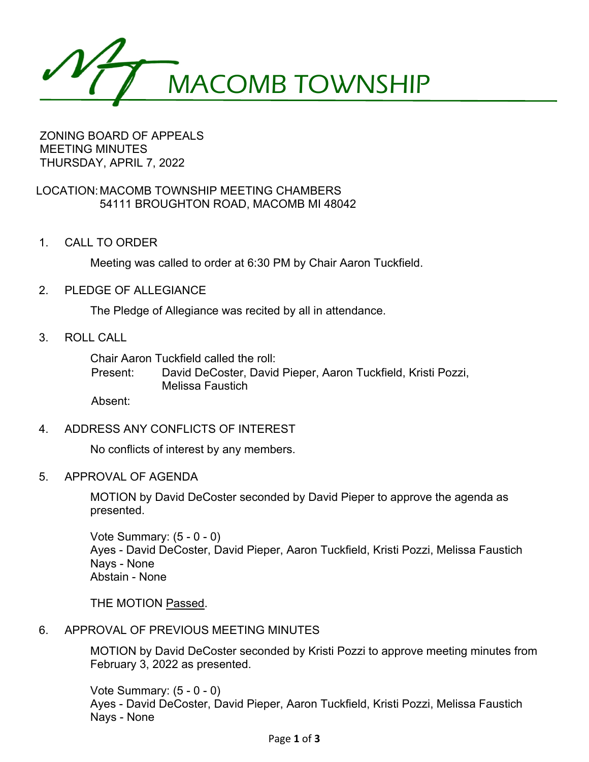MACOMB TOWNSHIP

ZONING BOARD OF APPEALS MEETING MINUTES THURSDAY, APRIL 7, 2022

# LOCATION:MACOMB TOWNSHIP MEETING CHAMBERS 54111 BROUGHTON ROAD, MACOMB MI 48042

1. CALL TO ORDER

Meeting was called to order at 6:30 PM by Chair Aaron Tuckfield.

2. PLEDGE OF ALLEGIANCE

The Pledge of Allegiance was recited by all in attendance.

3. ROLL CALL

Chair Aaron Tuckfield called the roll:

Present: David DeCoster, David Pieper, Aaron Tuckfield, Kristi Pozzi, Melissa Faustich

Absent:

4. ADDRESS ANY CONFLICTS OF INTEREST

No conflicts of interest by any members.

5. APPROVAL OF AGENDA

MOTION by David DeCoster seconded by David Pieper to approve the agenda as presented.

Vote Summary: (5 - 0 - 0) Ayes - David DeCoster, David Pieper, Aaron Tuckfield, Kristi Pozzi, Melissa Faustich Nays - None Abstain - None

THE MOTION Passed.

# 6. APPROVAL OF PREVIOUS MEETING MINUTES

MOTION by David DeCoster seconded by Kristi Pozzi to approve meeting minutes from February 3, 2022 as presented.

Vote Summary: (5 - 0 - 0) Ayes - David DeCoster, David Pieper, Aaron Tuckfield, Kristi Pozzi, Melissa Faustich Nays - None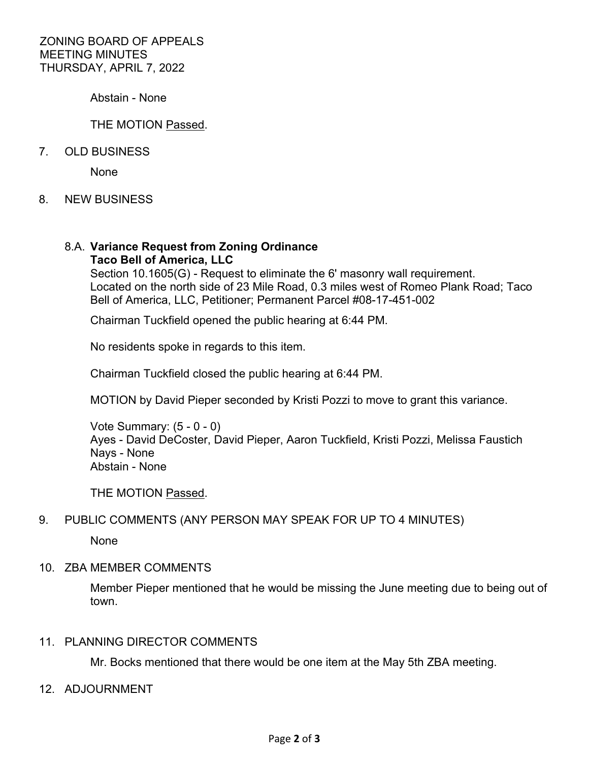Abstain - None

### THE MOTION Passed.

### 7. OLD BUSINESS

None

8. NEW BUSINESS

#### 8.A. **Variance Request from Zoning Ordinance Taco Bell of America, LLC**

Section 10.1605(G) - Request to eliminate the 6' masonry wall requirement. Located on the north side of 23 Mile Road, 0.3 miles west of Romeo Plank Road; Taco Bell of America, LLC, Petitioner; Permanent Parcel #08-17-451-002

Chairman Tuckfield opened the public hearing at 6:44 PM.

No residents spoke in regards to this item.

Chairman Tuckfield closed the public hearing at 6:44 PM.

MOTION by David Pieper seconded by Kristi Pozzi to move to grant this variance.

Vote Summary: (5 - 0 - 0) Ayes - David DeCoster, David Pieper, Aaron Tuckfield, Kristi Pozzi, Melissa Faustich Nays - None Abstain - None

THE MOTION Passed.

# 9. PUBLIC COMMENTS (ANY PERSON MAY SPEAK FOR UP TO 4 MINUTES)

None

#### 10. ZBA MEMBER COMMENTS

Member Pieper mentioned that he would be missing the June meeting due to being out of town.

#### 11. PLANNING DIRECTOR COMMENTS

Mr. Bocks mentioned that there would be one item at the May 5th ZBA meeting.

12. ADJOURNMENT